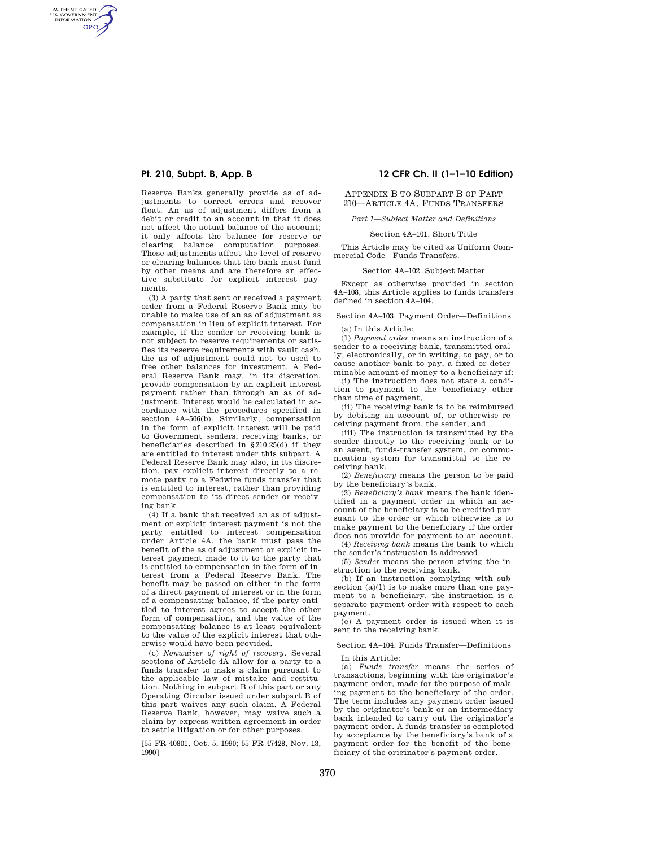AUTHENTICATED<br>U.S. GOVERNMENT<br>INFORMATION **GPO** 

> Reserve Banks generally provide as of adjustments to correct errors and recover float. An as of adjustment differs from a debit or credit to an account in that it does not affect the actual balance of the account; it only affects the balance for reserve or clearing balance computation purposes. These adjustments affect the level of reserve or clearing balances that the bank must fund by other means and are therefore an effective substitute for explicit interest payments.

(3) A party that sent or received a payment order from a Federal Reserve Bank may be unable to make use of an as of adjustment as compensation in lieu of explicit interest. For example, if the sender or receiving bank is not subject to reserve requirements or satisfies its reserve requirements with vault cash, the as of adjustment could not be used to free other balances for investment. A Federal Reserve Bank may, in its discretion, provide compensation by an explicit interest payment rather than through an as of adjustment. Interest would be calculated in accordance with the procedures specified in section 4A–506(b). Similarly, compensation in the form of explicit interest will be paid to Government senders, receiving banks, or beneficiaries described in §210.25(d) if they are entitled to interest under this subpart. A Federal Reserve Bank may also, in its discretion, pay explicit interest directly to a remote party to a Fedwire funds transfer that is entitled to interest, rather than providing compensation to its direct sender or receiving bank.

(4) If a bank that received an as of adjustment or explicit interest payment is not the party entitled to interest compensation under Article 4A, the bank must pass the benefit of the as of adjustment or explicit interest payment made to it to the party that is entitled to compensation in the form of interest from a Federal Reserve Bank. The benefit may be passed on either in the form of a direct payment of interest or in the form of a compensating balance, if the party entitled to interest agrees to accept the other form of compensation, and the value of the compensating balance is at least equivalent to the value of the explicit interest that otherwise would have been provided.

(c) *Nonwaiver of right of recovery.* Several sections of Article 4A allow for a party to a funds transfer to make a claim pursuant to the applicable law of mistake and restitution. Nothing in subpart B of this part or any Operating Circular issued under subpart B of this part waives any such claim. A Federal Reserve Bank, however, may waive such a claim by express written agreement in order to settle litigation or for other purposes.

[55 FR 40801, Oct. 5, 1990; 55 FR 47428, Nov. 13, 1990]

# **Pt. 210, Subpt. B, App. B 12 CFR Ch. II (1–1–10 Edition)**

APPENDIX B TO SUBPART B OF PART 210—ARTICLE 4A, FUNDS TRANSFERS

### *Part 1—Subject Matter and Definitions*

# Section 4A–101. Short Title

This Article may be cited as Uniform Commercial Code—Funds Transfers.

### Section 4A–102. Subject Matter

Except as otherwise provided in section 4A–108, this Article applies to funds transfers defined in section 4A–104.

# Section 4A–103. Payment Order—Definitions (a) In this Article:

(1) *Payment order* means an instruction of a

sender to a receiving bank, transmitted orally, electronically, or in writing, to pay, or to cause another bank to pay, a fixed or determinable amount of money to a beneficiary if:

(i) The instruction does not state a condition to payment to the beneficiary other than time of payment,

(ii) The receiving bank is to be reimbursed by debiting an account of, or otherwise receiving payment from, the sender, and

(iii) The instruction is transmitted by the sender directly to the receiving bank or to an agent, funds-transfer system, or communication system for transmittal to the receiving bank.

(2) *Beneficiary* means the person to be paid by the beneficiary's bank.

(3) *Beneficiary's bank* means the bank identified in a payment order in which an account of the beneficiary is to be credited pursuant to the order or which otherwise is to make payment to the beneficiary if the order does not provide for payment to an account.

(4) *Receiving bank* means the bank to which the sender's instruction is addressed.

(5) *Sender* means the person giving the instruction to the receiving bank.

(b) If an instruction complying with subsection (a)(1) is to make more than one payment to a beneficiary, the instruction is a separate payment order with respect to each payment.

(c) A payment order is issued when it is sent to the receiving bank.

# Section 4A–104. Funds Transfer—Definitions

In this Article:

(a) *Funds transfer* means the series of transactions, beginning with the originator's payment order, made for the purpose of making payment to the beneficiary of the order. The term includes any payment order issued by the originator's bank or an intermediary bank intended to carry out the originator's payment order. A funds transfer is completed by acceptance by the beneficiary's bank of a payment order for the benefit of the beneficiary of the originator's payment order.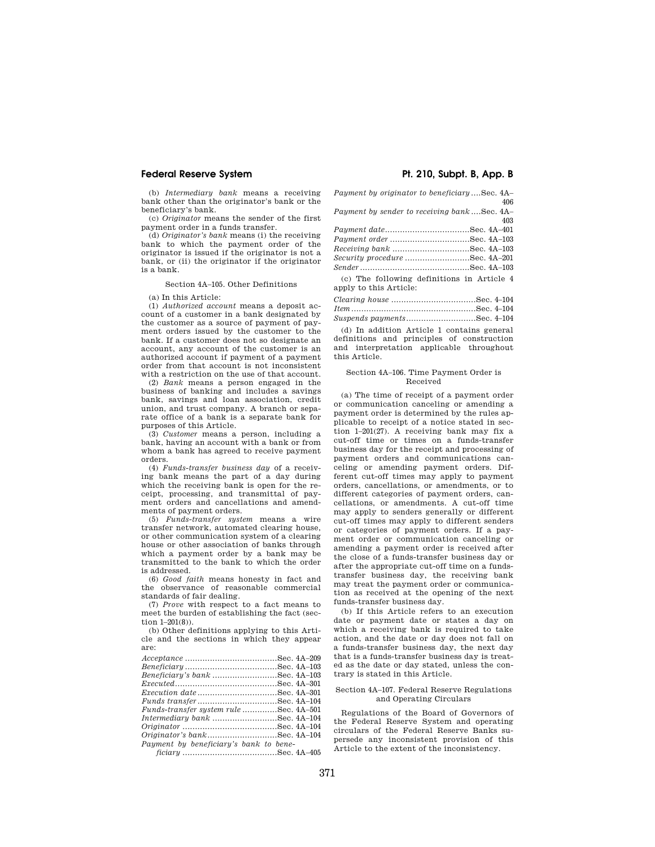(b) *Intermediary bank* means a receiving bank other than the originator's bank or the beneficiary's bank.

(c) *Originator* means the sender of the first payment order in a funds transfer.

(d) *Originator's bank* means (i) the receiving bank to which the payment order of the originator is issued if the originator is not a bank, or (ii) the originator if the originator is a bank.

## Section 4A–105. Other Definitions

(a) In this Article:

(1) *Authorized account* means a deposit account of a customer in a bank designated by the customer as a source of payment of payment orders issued by the customer to the bank. If a customer does not so designate an account, any account of the customer is an authorized account if payment of a payment order from that account is not inconsistent with a restriction on the use of that account.

(2) *Bank* means a person engaged in the business of banking and includes a savings bank, savings and loan association, credit union, and trust company. A branch or separate office of a bank is a separate bank for purposes of this Article.

(3) *Customer* means a person, including a bank, having an account with a bank or from whom a bank has agreed to receive payment orders.

(4) *Funds-transfer business day* of a receiving bank means the part of a day during which the receiving bank is open for the receipt, processing, and transmittal of payment orders and cancellations and amendments of payment orders.

(5) *Funds-transfer system* means a wire transfer network, automated clearing house, or other communication system of a clearing house or other association of banks through which a payment order by a bank may be transmitted to the bank to which the order is addressed.

(6) *Good faith* means honesty in fact and the observance of reasonable commercial standards of fair dealing.

(7) *Prove* with respect to a fact means to meet the burden of establishing the fact (section 1–201(8)).

(b) Other definitions applying to this Article and the sections in which they appear are:

| Beneficiary's bank Sec. 4A-103         |  |
|----------------------------------------|--|
|                                        |  |
| <i>Execution date</i> Sec. 4A-301      |  |
| <i>Funds transfer</i> Sec. 4A–104      |  |
| Funds-transfer system rule Sec. 4A-501 |  |
| Intermediary bank Sec. 4A-104          |  |
|                                        |  |
| <i>Originator's bank</i> Sec. 4A–104   |  |
| Payment by beneficiary's bank to bene- |  |

*Payment by beneficiary's bank to bene-ficiary* ......................................Sec. 4A–405

*Payment by originator to beneficiary*....Sec. 4A– 406

|                        | Payment by sender to receiving bankSec. 4A- |
|------------------------|---------------------------------------------|
|                        | 403                                         |
|                        |                                             |
|                        | <i>Payment order</i> Sec. 4A-103            |
|                        | <i>Receiving bank</i> Sec. 4A-103           |
|                        | <i>Security procedure Sec. 4A–201</i>       |
|                        |                                             |
| apply to this Article: | (c) The following definitions in Article 4  |
|                        |                                             |
|                        |                                             |

*Suspends payments*............................Sec. 4–104 (d) In addition Article 1 contains general definitions and principles of construction and interpretation applicable throughout this Article.

### Section 4A–106. Time Payment Order is Received

(a) The time of receipt of a payment order or communication canceling or amending a payment order is determined by the rules applicable to receipt of a notice stated in section 1–201(27). A receiving bank may fix a cut-off time or times on a funds-transfer business day for the receipt and processing of payment orders and communications canceling or amending payment orders. Different cut-off times may apply to payment orders, cancellations, or amendments, or to different categories of payment orders, cancellations, or amendments. A cut-off time may apply to senders generally or different cut-off times may apply to different senders or categories of payment orders. If a payment order or communication canceling or amending a payment order is received after the close of a funds-transfer business day or after the appropriate cut-off time on a fundstransfer business day, the receiving bank may treat the payment order or communication as received at the opening of the next funds-transfer business day.

(b) If this Article refers to an execution date or payment date or states a day on which a receiving bank is required to take action, and the date or day does not fall on a funds-transfer business day, the next day that is a funds-transfer business day is treated as the date or day stated, unless the contrary is stated in this Article.

#### Section 4A–107. Federal Reserve Regulations and Operating Circulars

Regulations of the Board of Governors of the Federal Reserve System and operating circulars of the Federal Reserve Banks supersede any inconsistent provision of this Article to the extent of the inconsistency.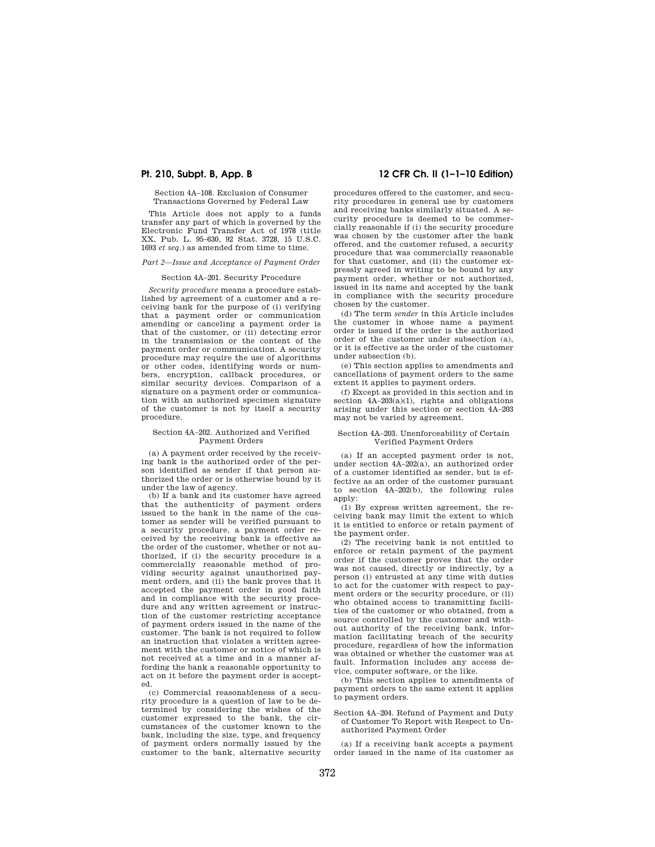Section 4A–108. Exclusion of Consumer Transactions Governed by Federal Law

This Article does not apply to a funds transfer any part of which is governed by the Electronic Fund Transfer Act of 1978 (title XX, Pub. L. 95–630, 92 Stat. 3728, 15 U.S.C. 1693 *et seq.*) as amended from time to time.

# *Part 2—Issue and Acceptance of Payment Order*

### Section 4A–201. Security Procedure

*Security procedure* means a procedure established by agreement of a customer and a receiving bank for the purpose of (i) verifying that a payment order or communication amending or canceling a payment order is that of the customer, or (ii) detecting error in the transmission or the content of the payment order or communication. A security procedure may require the use of algorithms or other codes, identifying words or numbers, encryption, callback procedures, or similar security devices. Comparison of a signature on a payment order or communication with an authorized specimen signature of the customer is not by itself a security procedure.

### Section 4A–202. Authorized and Verified Payment Orders

(a) A payment order received by the receiving bank is the authorized order of the person identified as sender if that person authorized the order or is otherwise bound by it under the law of agency.

(b) If a bank and its customer have agreed that the authenticity of payment orders issued to the bank in the name of the customer as sender will be verified pursuant to a security procedure, a payment order received by the receiving bank is effective as the order of the customer, whether or not authorized, if (i) the security procedure is a commercially reasonable method of providing security against unauthorized payment orders, and (ii) the bank proves that it accepted the payment order in good faith and in compliance with the security procedure and any written agreement or instruction of the customer restricting acceptance of payment orders issued in the name of the customer. The bank is not required to follow an instruction that violates a written agreement with the customer or notice of which is not received at a time and in a manner affording the bank a reasonable opportunity to act on it before the payment order is accepted.

(c) Commercial reasonableness of a security procedure is a question of law to be determined by considering the wishes of the customer expressed to the bank, the circumstances of the customer known to the bank, including the size, type, and frequency of payment orders normally issued by the customer to the bank, alternative security

# **Pt. 210, Subpt. B, App. B 12 CFR Ch. II (1–1–10 Edition)**

procedures offered to the customer, and security procedures in general use by customers and receiving banks similarly situated. A security procedure is deemed to be commercially reasonable if (i) the security procedure was chosen by the customer after the bank offered, and the customer refused, a security procedure that was commercially reasonable for that customer, and (ii) the customer expressly agreed in writing to be bound by any payment order, whether or not authorized, issued in its name and accepted by the bank in compliance with the security procedure chosen by the customer.

(d) The term *sender* in this Article includes the customer in whose name a payment order is issued if the order is the authorized order of the customer under subsection (a), or it is effective as the order of the customer under subsection (b).

(e) This section applies to amendments and cancellations of payment orders to the same extent it applies to payment orders.

(f) Except as provided in this section and in section  $4A-203(a)(1)$ , rights and obligations arising under this section or section 4A–203 may not be varied by agreement.

#### Section 4A–203. Unenforceability of Certain Verified Payment Orders

(a) If an accepted payment order is not, under section  $4A-202(a)$ , an authorized order of a customer identified as sender, but is effective as an order of the customer pursuant to section 4A–202(b), the following rules apply:

(1) By express written agreement, the receiving bank may limit the extent to which it is entitled to enforce or retain payment of the payment order.

(2) The receiving bank is not entitled to enforce or retain payment of the payment order if the customer proves that the order was not caused, directly or indirectly, by a person (i) entrusted at any time with duties to act for the customer with respect to payment orders or the security procedure, or (ii) who obtained access to transmitting facilities of the customer or who obtained, from a source controlled by the customer and without authority of the receiving bank, information facilitating breach of the security procedure, regardless of how the information was obtained or whether the customer was at fault. Information includes any access device, computer software, or the like.

(b) This section applies to amendments of payment orders to the same extent it applies to payment orders.

Section 4A–204. Refund of Payment and Duty of Customer To Report with Respect to Unauthorized Payment Order

(a) If a receiving bank accepts a payment order issued in the name of its customer as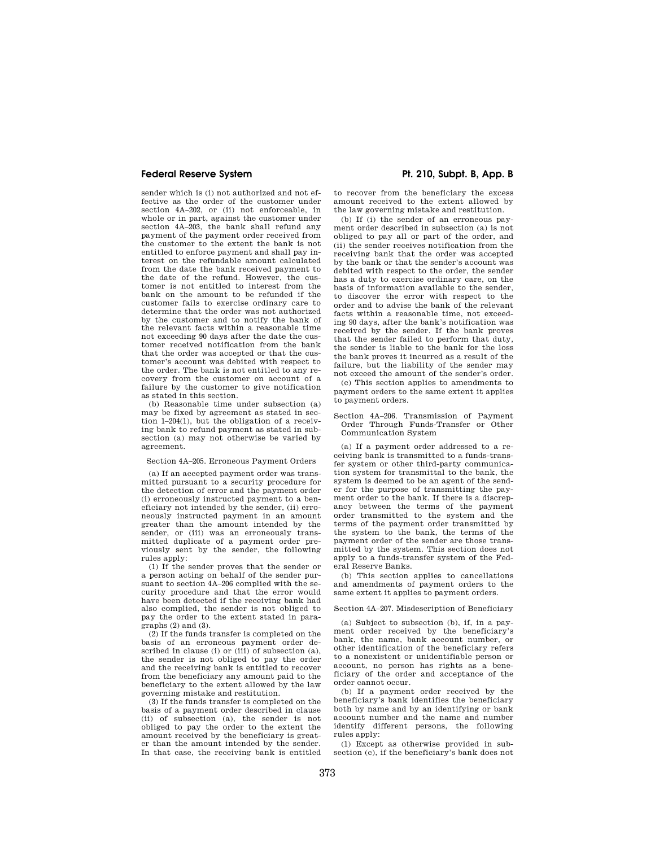sender which is (i) not authorized and not effective as the order of the customer under section  $4A-202$ , or (ii) not enforceable, in whole or in part, against the customer under section 4A–203, the bank shall refund any payment of the payment order received from the customer to the extent the bank is not entitled to enforce payment and shall pay interest on the refundable amount calculated from the date the bank received payment to the date of the refund. However, the customer is not entitled to interest from the bank on the amount to be refunded if the customer fails to exercise ordinary care to determine that the order was not authorized by the customer and to notify the bank of the relevant facts within a reasonable time not exceeding 90 days after the date the customer received notification from the bank that the order was accepted or that the customer's account was debited with respect to the order. The bank is not entitled to any recovery from the customer on account of a failure by the customer to give notification as stated in this section.

(b) Reasonable time under subsection (a) may be fixed by agreement as stated in section 1–204(1), but the obligation of a receiving bank to refund payment as stated in subsection (a) may not otherwise be varied by agreement.

#### Section 4A–205. Erroneous Payment Orders

(a) If an accepted payment order was transmitted pursuant to a security procedure for the detection of error and the payment order (i) erroneously instructed payment to a beneficiary not intended by the sender, (ii) erroneously instructed payment in an amount greater than the amount intended by the sender, or (iii) was an erroneously transmitted duplicate of a payment order previously sent by the sender, the following rules apply:

(1) If the sender proves that the sender or a person acting on behalf of the sender pursuant to section 4A–206 complied with the security procedure and that the error would have been detected if the receiving bank had also complied, the sender is not obliged to pay the order to the extent stated in paragraphs (2) and (3).

(2) If the funds transfer is completed on the basis of an erroneous payment order described in clause (i) or (iii) of subsection (a). the sender is not obliged to pay the order and the receiving bank is entitled to recover from the beneficiary any amount paid to the beneficiary to the extent allowed by the law governing mistake and restitution.

(3) If the funds transfer is completed on the basis of a payment order described in clause (ii) of subsection (a), the sender is not obliged to pay the order to the extent the amount received by the beneficiary is greater than the amount intended by the sender. In that case, the receiving bank is entitled

to recover from the beneficiary the excess amount received to the extent allowed by the law governing mistake and restitution.

(b) If (i) the sender of an erroneous payment order described in subsection (a) is not obliged to pay all or part of the order, and (ii) the sender receives notification from the receiving bank that the order was accepted by the bank or that the sender's account was debited with respect to the order, the sender has a duty to exercise ordinary care, on the basis of information available to the sender, to discover the error with respect to the order and to advise the bank of the relevant facts within a reasonable time, not exceeding 90 days, after the bank's notification was received by the sender. If the bank proves that the sender failed to perform that duty, the sender is liable to the bank for the loss the bank proves it incurred as a result of the failure, but the liability of the sender may not exceed the amount of the sender's order.

(c) This section applies to amendments to payment orders to the same extent it applies to payment orders.

Section 4A–206. Transmission of Payment Order Through Funds-Transfer or Other Communication System

(a) If a payment order addressed to a receiving bank is transmitted to a funds-transfer system or other third-party communication system for transmittal to the bank, the system is deemed to be an agent of the sender for the purpose of transmitting the payment order to the bank. If there is a discrepancy between the terms of the payment order transmitted to the system and the terms of the payment order transmitted by the system to the bank, the terms of the payment order of the sender are those transmitted by the system. This section does not apply to a funds-transfer system of the Federal Reserve Banks.

(b) This section applies to cancellations and amendments of payment orders to the same extent it applies to payment orders.

# Section 4A–207. Misdescription of Beneficiary

(a) Subject to subsection  $(b)$ , if, in a payment order received by the beneficiary's bank, the name, bank account number, or other identification of the beneficiary refers to a nonexistent or unidentifiable person or account, no person has rights as a beneficiary of the order and acceptance of the order cannot occur.

(b) If a payment order received by the beneficiary's bank identifies the beneficiary both by name and by an identifying or bank account number and the name and number identify different persons, the following rules apply:

(1) Except as otherwise provided in subsection (c), if the beneficiary's bank does not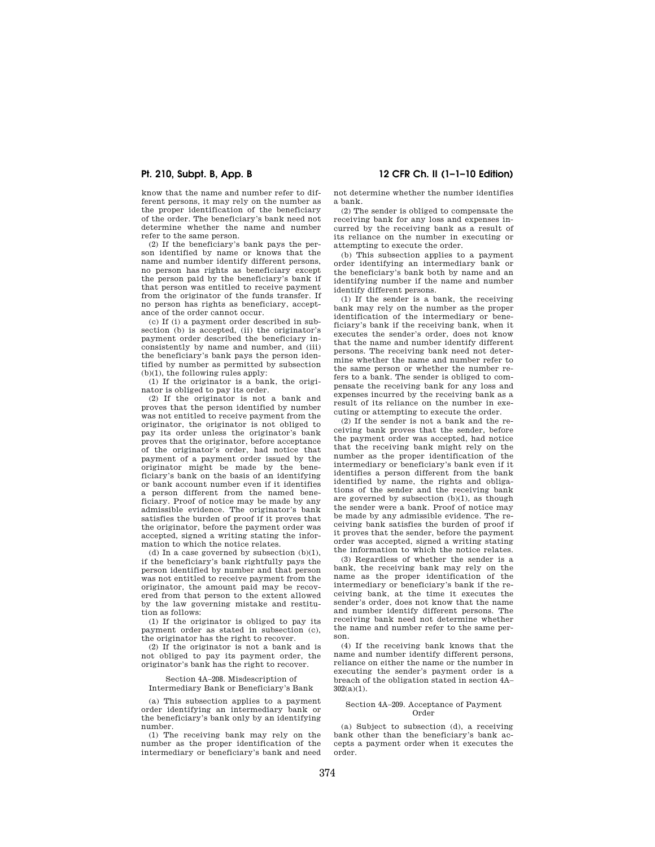# **Pt. 210, Subpt. B, App. B 12 CFR Ch. II (1–1–10 Edition)**

know that the name and number refer to different persons, it may rely on the number as the proper identification of the beneficiary of the order. The beneficiary's bank need not determine whether the name and number refer to the same person.

(2) If the beneficiary's bank pays the person identified by name or knows that the name and number identify different persons, no person has rights as beneficiary except the person paid by the beneficiary's bank if that person was entitled to receive payment from the originator of the funds transfer. If no person has rights as beneficiary, acceptance of the order cannot occur.

(c) If (i) a payment order described in subsection (b) is accepted, (ii) the originator's payment order described the beneficiary inconsistently by name and number, and (iii) the beneficiary's bank pays the person identified by number as permitted by subsection (b)(1), the following rules apply:

(1) If the originator is a bank, the originator is obliged to pay its order.

(2) If the originator is not a bank and proves that the person identified by number was not entitled to receive payment from the originator, the originator is not obliged to pay its order unless the originator's bank proves that the originator, before acceptance of the originator's order, had notice that payment of a payment order issued by the originator might be made by the beneficiary's bank on the basis of an identifying or bank account number even if it identifies a person different from the named beneficiary. Proof of notice may be made by any admissible evidence. The originator's bank satisfies the burden of proof if it proves that the originator, before the payment order was accepted, signed a writing stating the information to which the notice relates.

(d) In a case governed by subsection  $(b)(1)$ , if the beneficiary's bank rightfully pays the person identified by number and that person was not entitled to receive payment from the originator, the amount paid may be recovered from that person to the extent allowed by the law governing mistake and restitution as follows:

(1) If the originator is obliged to pay its payment order as stated in subsection (c), the originator has the right to recover.

(2) If the originator is not a bank and is not obliged to pay its payment order, the originator's bank has the right to recover.

## Section 4A–208. Misdescription of Intermediary Bank or Beneficiary's Bank

(a) This subsection applies to a payment order identifying an intermediary bank or the beneficiary's bank only by an identifying number.

(1) The receiving bank may rely on the number as the proper identification of the intermediary or beneficiary's bank and need

not determine whether the number identifies a bank.

(2) The sender is obliged to compensate the receiving bank for any loss and expenses incurred by the receiving bank as a result of its reliance on the number in executing or attempting to execute the order.

(b) This subsection applies to a payment order identifying an intermediary bank or the beneficiary's bank both by name and an identifying number if the name and number identify different persons.

(1) If the sender is a bank, the receiving bank may rely on the number as the proper identification of the intermediary or beneficiary's bank if the receiving bank, when it executes the sender's order, does not know that the name and number identify different persons. The receiving bank need not determine whether the name and number refer to the same person or whether the number refers to a bank. The sender is obliged to compensate the receiving bank for any loss and expenses incurred by the receiving bank as a result of its reliance on the number in executing or attempting to execute the order.

(2) If the sender is not a bank and the receiving bank proves that the sender, before the payment order was accepted, had notice that the receiving bank might rely on the number as the proper identification of the intermediary or beneficiary's bank even if it identifies a person different from the bank identified by name, the rights and obligations of the sender and the receiving bank are governed by subsection (b)(1), as though the sender were a bank. Proof of notice may be made by any admissible evidence. The receiving bank satisfies the burden of proof if it proves that the sender, before the payment order was accepted, signed a writing stating the information to which the notice relates.

(3) Regardless of whether the sender is a bank, the receiving bank may rely on the name as the proper identification of the intermediary or beneficiary's bank if the receiving bank, at the time it executes the sender's order, does not know that the name and number identify different persons. The receiving bank need not determine whether the name and number refer to the same person.

(4) If the receiving bank knows that the name and number identify different persons, reliance on either the name or the number in executing the sender's payment order is a breach of the obligation stated in section 4A– 302(a)(1).

#### Section 4A–209. Acceptance of Payment Order

(a) Subject to subsection (d), a receiving bank other than the beneficiary's bank accepts a payment order when it executes the order.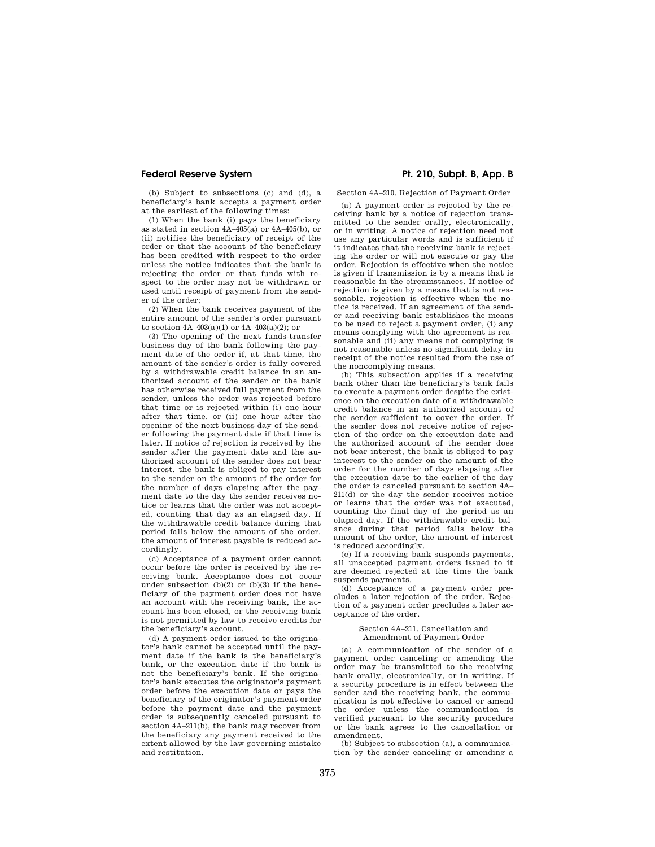(b) Subject to subsections (c) and (d), a beneficiary's bank accepts a payment order at the earliest of the following times:

(1) When the bank (i) pays the beneficiary as stated in section 4A–405(a) or 4A–405(b), or (ii) notifies the beneficiary of receipt of the order or that the account of the beneficiary has been credited with respect to the order unless the notice indicates that the bank is rejecting the order or that funds with respect to the order may not be withdrawn or used until receipt of payment from the sender of the order;

(2) When the bank receives payment of the entire amount of the sender's order pursuant to section  $4A-403(a)(1)$  or  $4A-403(a)(2)$ ; or

(3) The opening of the next funds-transfer business day of the bank following the payment date of the order if, at that time, the amount of the sender's order is fully covered by a withdrawable credit balance in an authorized account of the sender or the bank has otherwise received full payment from the sender, unless the order was rejected before that time or is rejected within (i) one hour after that time, or (ii) one hour after the opening of the next business day of the sender following the payment date if that time is later. If notice of rejection is received by the sender after the payment date and the authorized account of the sender does not bear interest, the bank is obliged to pay interest to the sender on the amount of the order for the number of days elapsing after the payment date to the day the sender receives notice or learns that the order was not accepted, counting that day as an elapsed day. If the withdrawable credit balance during that period falls below the amount of the order, the amount of interest payable is reduced accordingly.

(c) Acceptance of a payment order cannot occur before the order is received by the receiving bank. Acceptance does not occur under subsection  $(b)(2)$  or  $(b)(3)$  if the beneficiary of the payment order does not have an account with the receiving bank, the account has been closed, or the receiving bank is not permitted by law to receive credits for the beneficiary's account.

(d) A payment order issued to the originator's bank cannot be accepted until the payment date if the bank is the beneficiary's bank, or the execution date if the bank is not the beneficiary's bank. If the originator's bank executes the originator's payment order before the execution date or pays the beneficiary of the originator's payment order before the payment date and the payment order is subsequently canceled pursuant to section 4A–211(b), the bank may recover from the beneficiary any payment received to the extent allowed by the law governing mistake and restitution.

Section 4A–210. Rejection of Payment Order

(a) A payment order is rejected by the receiving bank by a notice of rejection transmitted to the sender orally, electronically, or in writing. A notice of rejection need not use any particular words and is sufficient if it indicates that the receiving bank is rejecting the order or will not execute or pay the order. Rejection is effective when the notice is given if transmission is by a means that is reasonable in the circumstances. If notice of rejection is given by a means that is not reasonable, rejection is effective when the notice is received. If an agreement of the sender and receiving bank establishes the means to be used to reject a payment order, (i) any means complying with the agreement is reasonable and (ii) any means not complying is not reasonable unless no significant delay in receipt of the notice resulted from the use of the noncomplying means.

(b) This subsection applies if a receiving bank other than the beneficiary's bank fails to execute a payment order despite the existence on the execution date of a withdrawable credit balance in an authorized account of the sender sufficient to cover the order. If the sender does not receive notice of rejection of the order on the execution date and the authorized account of the sender does not bear interest, the bank is obliged to pay interest to the sender on the amount of the order for the number of days elapsing after the execution date to the earlier of the day the order is canceled pursuant to section 4A– 211(d) or the day the sender receives notice or learns that the order was not executed, counting the final day of the period as an elapsed day. If the withdrawable credit balance during that period falls below the amount of the order, the amount of interest is reduced accordingly.

(c) If a receiving bank suspends payments, all unaccepted payment orders issued to it are deemed rejected at the time the bank suspends payments.

(d) Acceptance of a payment order precludes a later rejection of the order. Rejection of a payment order precludes a later acceptance of the order.

#### Section 4A–211. Cancellation and Amendment of Payment Order

(a) A communication of the sender of a payment order canceling or amending the order may be transmitted to the receiving bank orally, electronically, or in writing. If a security procedure is in effect between the sender and the receiving bank, the communication is not effective to cancel or amend the order unless the communication is verified pursuant to the security procedure or the bank agrees to the cancellation or amendment.

(b) Subject to subsection (a), a communication by the sender canceling or amending a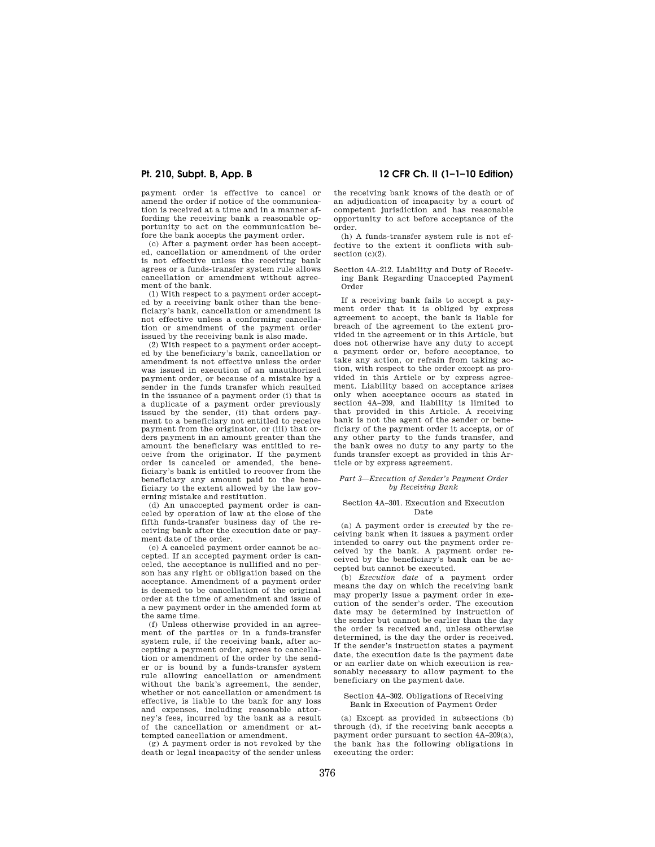payment order is effective to cancel or amend the order if notice of the communication is received at a time and in a manner affording the receiving bank a reasonable opportunity to act on the communication before the bank accepts the payment order.

(c) After a payment order has been accepted, cancellation or amendment of the order is not effective unless the receiving bank agrees or a funds-transfer system rule allows cancellation or amendment without agreement of the bank.

(1) With respect to a payment order accepted by a receiving bank other than the beneficiary's bank, cancellation or amendment is not effective unless a conforming cancellation or amendment of the payment order issued by the receiving bank is also made.

(2) With respect to a payment order accepted by the beneficiary's bank, cancellation or amendment is not effective unless the order was issued in execution of an unauthorized payment order, or because of a mistake by a sender in the funds transfer which resulted in the issuance of a payment order (i) that is a duplicate of a payment order previously issued by the sender, (ii) that orders payment to a beneficiary not entitled to receive payment from the originator, or (iii) that orders payment in an amount greater than the amount the beneficiary was entitled to receive from the originator. If the payment order is canceled or amended, the beneficiary's bank is entitled to recover from the beneficiary any amount paid to the beneficiary to the extent allowed by the law governing mistake and restitution.

(d) An unaccepted payment order is canceled by operation of law at the close of the fifth funds-transfer business day of the receiving bank after the execution date or payment date of the order.

(e) A canceled payment order cannot be accepted. If an accepted payment order is canceled, the acceptance is nullified and no person has any right or obligation based on the acceptance. Amendment of a payment order is deemed to be cancellation of the original order at the time of amendment and issue of a new payment order in the amended form at the same time.

(f) Unless otherwise provided in an agreement of the parties or in a funds-transfer system rule, if the receiving bank, after accepting a payment order, agrees to cancellation or amendment of the order by the sender or is bound by a funds-transfer system rule allowing cancellation or amendment without the bank's agreement, the sender, whether or not cancellation or amendment is effective, is liable to the bank for any loss and expenses, including reasonable attorney's fees, incurred by the bank as a result of the cancellation or amendment or attempted cancellation or amendment.

(g) A payment order is not revoked by the death or legal incapacity of the sender unless

# **Pt. 210, Subpt. B, App. B 12 CFR Ch. II (1–1–10 Edition)**

the receiving bank knows of the death or of an adjudication of incapacity by a court of competent jurisdiction and has reasonable opportunity to act before acceptance of the order.

(h) A funds-transfer system rule is not effective to the extent it conflicts with subsection (c)(2).

Section 4A–212. Liability and Duty of Receiving Bank Regarding Unaccepted Payment Order

If a receiving bank fails to accept a payment order that it is obliged by express agreement to accept, the bank is liable for breach of the agreement to the extent provided in the agreement or in this Article, but does not otherwise have any duty to accept a payment order or, before acceptance, to take any action, or refrain from taking action, with respect to the order except as provided in this Article or by express agreement. Liability based on acceptance arises only when acceptance occurs as stated in section 4A–209, and liability is limited to that provided in this Article. A receiving bank is not the agent of the sender or beneficiary of the payment order it accepts, or of any other party to the funds transfer, and the bank owes no duty to any party to the funds transfer except as provided in this Article or by express agreement.

## *Part 3—Execution of Sender's Payment Order by Receiving Bank*

#### Section 4A–301. Execution and Execution Date

(a) A payment order is *executed* by the receiving bank when it issues a payment order intended to carry out the payment order received by the bank. A payment order received by the beneficiary's bank can be accepted but cannot be executed.

(b) *Execution date* of a payment order means the day on which the receiving bank may properly issue a payment order in execution of the sender's order. The execution date may be determined by instruction of the sender but cannot be earlier than the day the order is received and, unless otherwise determined, is the day the order is received. If the sender's instruction states a payment date, the execution date is the payment date or an earlier date on which execution is reasonably necessary to allow payment to the beneficiary on the payment date.

# Section 4A–302. Obligations of Receiving Bank in Execution of Payment Order

(a) Except as provided in subsections (b) through (d), if the receiving bank accepts a payment order pursuant to section 4A–209(a), the bank has the following obligations in executing the order: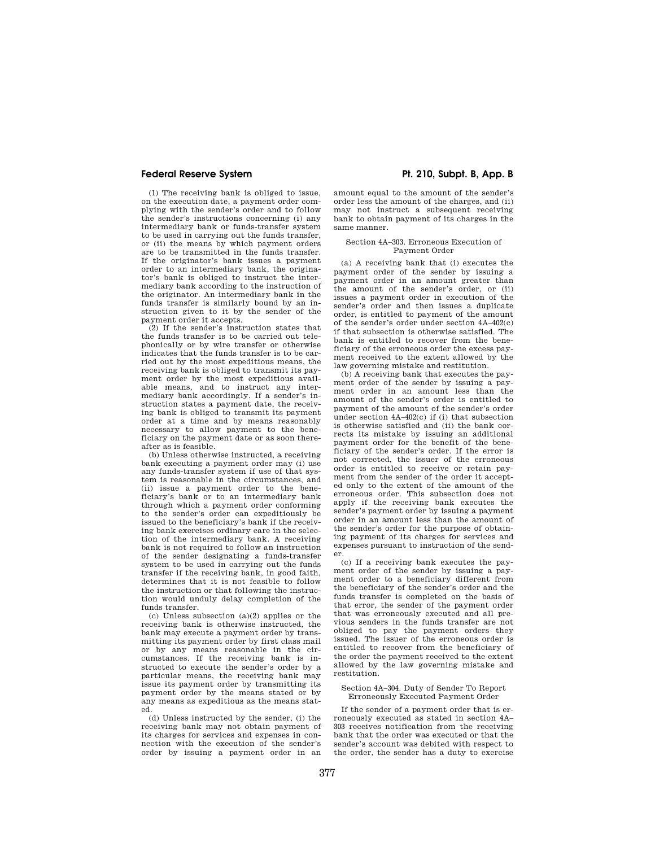(1) The receiving bank is obliged to issue, on the execution date, a payment order complying with the sender's order and to follow the sender's instructions concerning (i) any intermediary bank or funds-transfer system to be used in carrying out the funds transfer, or (ii) the means by which payment orders are to be transmitted in the funds transfer. If the originator's bank issues a payment order to an intermediary bank, the originator's bank is obliged to instruct the intermediary bank according to the instruction of the originator. An intermediary bank in the funds transfer is similarly bound by an instruction given to it by the sender of the payment order it accepts.

(2) If the sender's instruction states that the funds transfer is to be carried out telephonically or by wire transfer or otherwise indicates that the funds transfer is to be carried out by the most expeditious means, the receiving bank is obliged to transmit its payment order by the most expeditious available means, and to instruct any intermediary bank accordingly. If a sender's instruction states a payment date, the receiving bank is obliged to transmit its payment order at a time and by means reasonably necessary to allow payment to the beneficiary on the payment date or as soon thereafter as is feasible.

(b) Unless otherwise instructed, a receiving bank executing a payment order may (i) use any funds-transfer system if use of that system is reasonable in the circumstances, and (ii) issue a payment order to the beneficiary's bank or to an intermediary bank through which a payment order conforming to the sender's order can expeditiously be issued to the beneficiary's bank if the receiving bank exercises ordinary care in the selection of the intermediary bank. A receiving bank is not required to follow an instruction of the sender designating a funds-transfer system to be used in carrying out the funds transfer if the receiving bank, in good faith, determines that it is not feasible to follow the instruction or that following the instruction would unduly delay completion of the funds transfer.

(c) Unless subsection (a)(2) applies or the receiving bank is otherwise instructed, the bank may execute a payment order by transmitting its payment order by first class mail or by any means reasonable in the circumstances. If the receiving bank is instructed to execute the sender's order by a particular means, the receiving bank may issue its payment order by transmitting its payment order by the means stated or by any means as expeditious as the means stated.

(d) Unless instructed by the sender, (i) the receiving bank may not obtain payment of its charges for services and expenses in connection with the execution of the sender's order by issuing a payment order in an

amount equal to the amount of the sender's order less the amount of the charges, and (ii) may not instruct a subsequent receiving bank to obtain payment of its charges in the same manner.

#### Section 4A–303. Erroneous Execution of Payment Order

(a) A receiving bank that (i) executes the payment order of the sender by issuing a payment order in an amount greater than the amount of the sender's order, or (ii) issues a payment order in execution of the sender's order and then issues a duplicate order, is entitled to payment of the amount of the sender's order under section 4A–402(c) if that subsection is otherwise satisfied. The bank is entitled to recover from the beneficiary of the erroneous order the excess payment received to the extent allowed by the law governing mistake and restitution.

(b) A receiving bank that executes the payment order of the sender by issuing a payment order in an amount less than the amount of the sender's order is entitled to payment of the amount of the sender's order under section 4A–402(c) if (i) that subsection is otherwise satisfied and (ii) the bank corrects its mistake by issuing an additional payment order for the benefit of the beneficiary of the sender's order. If the error is not corrected, the issuer of the erroneous order is entitled to receive or retain payment from the sender of the order it accepted only to the extent of the amount of the erroneous order. This subsection does not apply if the receiving bank executes the sender's payment order by issuing a payment order in an amount less than the amount of the sender's order for the purpose of obtaining payment of its charges for services and expenses pursuant to instruction of the sender.

(c) If a receiving bank executes the payment order of the sender by issuing a payment order to a beneficiary different from the beneficiary of the sender's order and the funds transfer is completed on the basis of that error, the sender of the payment order that was erroneously executed and all previous senders in the funds transfer are not obliged to pay the payment orders they issued. The issuer of the erroneous order is entitled to recover from the beneficiary of the order the payment received to the extent allowed by the law governing mistake and restitution.

#### Section 4A–304. Duty of Sender To Report Erroneously Executed Payment Order

If the sender of a payment order that is erroneously executed as stated in section 4A– 303 receives notification from the receiving bank that the order was executed or that the sender's account was debited with respect to the order, the sender has a duty to exercise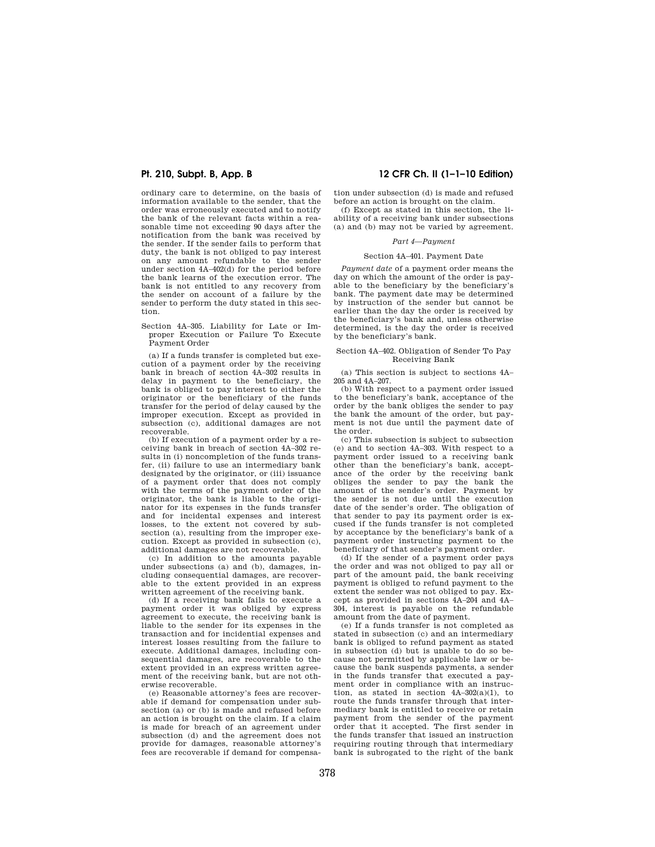ordinary care to determine, on the basis of information available to the sender, that the order was erroneously executed and to notify the bank of the relevant facts within a reasonable time not exceeding 90 days after the notification from the bank was received by the sender. If the sender fails to perform that duty, the bank is not obliged to pay interest on any amount refundable to the sender under section 4A–402(d) for the period before the bank learns of the execution error. The bank is not entitled to any recovery from the sender on account of a failure by the sender to perform the duty stated in this section.

Section 4A–305. Liability for Late or Improper Execution or Failure To Execute Payment Order

(a) If a funds transfer is completed but execution of a payment order by the receiving bank in breach of section 4A–302 results in delay in payment to the beneficiary, the bank is obliged to pay interest to either the originator or the beneficiary of the funds transfer for the period of delay caused by the improper execution. Except as provided in subsection (c), additional damages are not recoverable.

(b) If execution of a payment order by a receiving bank in breach of section 4A–302 results in (i) noncompletion of the funds transfer, (ii) failure to use an intermediary bank designated by the originator, or (iii) issuance of a payment order that does not comply with the terms of the payment order of the originator, the bank is liable to the originator for its expenses in the funds transfer and for incidental expenses and interest losses, to the extent not covered by subsection (a), resulting from the improper execution. Except as provided in subsection (c), additional damages are not recoverable.

(c) In addition to the amounts payable under subsections (a) and (b), damages, including consequential damages, are recoverable to the extent provided in an express written agreement of the receiving bank.

(d) If a receiving bank fails to execute a payment order it was obliged by express agreement to execute, the receiving bank is liable to the sender for its expenses in the transaction and for incidential expenses and interest losses resulting from the failure to execute. Additional damages, including consequential damages, are recoverable to the extent provided in an express written agreement of the receiving bank, but are not otherwise recoverable.

(e) Reasonable attorney's fees are recoverable if demand for compensation under subsection (a) or (b) is made and refused before an action is brought on the claim. If a claim is made for breach of an agreement under subsection (d) and the agreement does not provide for damages, reasonable attorney's fees are recoverable if demand for compensa-

# **Pt. 210, Subpt. B, App. B 12 CFR Ch. II (1–1–10 Edition)**

tion under subsection (d) is made and refused before an action is brought on the claim.

(f) Except as stated in this section, the liability of a receiving bank under subsections (a) and (b) may not be varied by agreement.

# *Part 4—Payment*

### Section 4A–401. Payment Date

*Payment date* of a payment order means the day on which the amount of the order is payable to the beneficiary by the beneficiary's bank. The payment date may be determined by instruction of the sender but cannot be earlier than the day the order is received by the beneficiary's bank and, unless otherwise determined, is the day the order is received by the beneficiary's bank.

### Section 4A–402. Obligation of Sender To Pay Receiving Bank

(a) This section is subject to sections 4A– 205 and 4A–207.

(b) With respect to a payment order issued to the beneficiary's bank, acceptance of the order by the bank obliges the sender to pay the bank the amount of the order, but payment is not due until the payment date of the order.

(c) This subsection is subject to subsection (e) and to section 4A–303. With respect to a payment order issued to a receiving bank other than the beneficiary's bank, acceptance of the order by the receiving bank obliges the sender to pay the bank the amount of the sender's order. Payment by the sender is not due until the execution date of the sender's order. The obligation of that sender to pay its payment order is excused if the funds transfer is not completed by acceptance by the beneficiary's bank of a payment order instructing payment to the beneficiary of that sender's payment order.

(d) If the sender of a payment order pays the order and was not obliged to pay all or part of the amount paid, the bank receiving payment is obliged to refund payment to the extent the sender was not obliged to pay. Except as provided in sections 4A–204 and 4A– 304, interest is payable on the refundable amount from the date of payment.

(e) If a funds transfer is not completed as stated in subsection (c) and an intermediary bank is obliged to refund payment as stated in subsection (d) but is unable to do so because not permitted by applicable law or because the bank suspends payments, a sender in the funds transfer that executed a payment order in compliance with an instruction, as stated in section  $4A-302(a)(1)$ , to route the funds transfer through that intermediary bank is entitled to receive or retain payment from the sender of the payment order that it accepted. The first sender in the funds transfer that issued an instruction requiring routing through that intermediary bank is subrogated to the right of the bank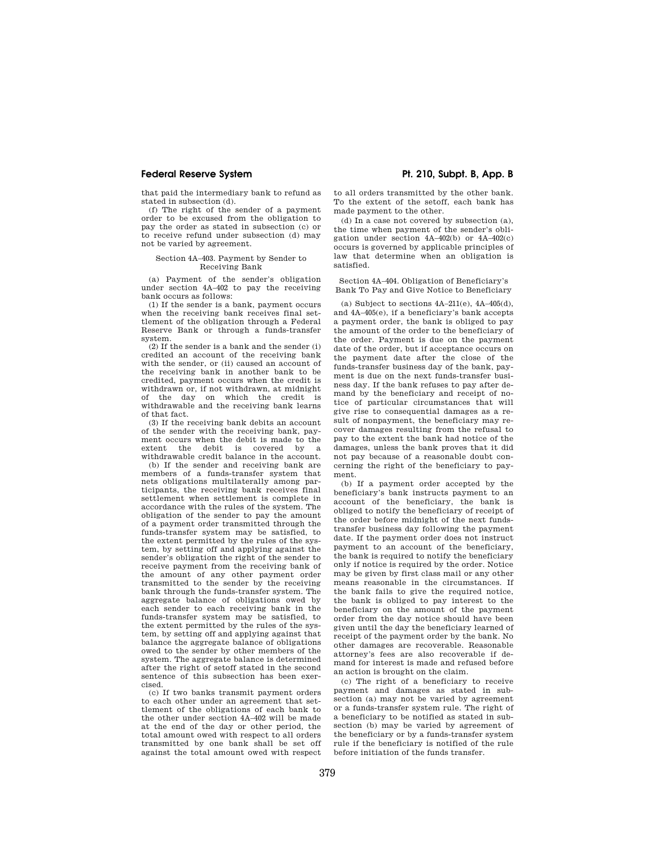that paid the intermediary bank to refund as stated in subsection (d).

(f) The right of the sender of a payment order to be excused from the obligation to pay the order as stated in subsection (c) or to receive refund under subsection (d) may not be varied by agreement.

## Section 4A–403. Payment by Sender to Receiving Bank

(a) Payment of the sender's obligation under section 4A–402 to pay the receiving bank occurs as follows:

(1) If the sender is a bank, payment occurs when the receiving bank receives final settlement of the obligation through a Federal Reserve Bank or through a funds-transfer system.

(2) If the sender is a bank and the sender (i) credited an account of the receiving bank with the sender, or (ii) caused an account of the receiving bank in another bank to be credited, payment occurs when the credit is withdrawn or, if not withdrawn, at midnight of the day on which the credit is withdrawable and the receiving bank learns of that fact.

(3) If the receiving bank debits an account of the sender with the receiving bank, payment occurs when the debit is made to the extent the debit is covered by a withdrawable credit balance in the account.

(b) If the sender and receiving bank are members of a funds-transfer system that nets obligations multilaterally among participants, the receiving bank receives final settlement when settlement is complete in accordance with the rules of the system. The obligation of the sender to pay the amount of a payment order transmitted through the funds-transfer system may be satisfied, to the extent permitted by the rules of the system, by setting off and applying against the sender's obligation the right of the sender to receive payment from the receiving bank of the amount of any other payment order transmitted to the sender by the receiving bank through the funds-transfer system. The aggregate balance of obligations owed by each sender to each receiving bank in the funds-transfer system may be satisfied, to the extent permitted by the rules of the system, by setting off and applying against that balance the aggregate balance of obligations owed to the sender by other members of the system. The aggregate balance is determined after the right of setoff stated in the second sentence of this subsection has been exercised.

(c) If two banks transmit payment orders to each other under an agreement that settlement of the obligations of each bank to the other under section 4A–402 will be made at the end of the day or other period, the total amount owed with respect to all orders transmitted by one bank shall be set off against the total amount owed with respect

to all orders transmitted by the other bank. To the extent of the setoff, each bank has made payment to the other.

(d) In a case not covered by subsection (a), the time when payment of the sender's obligation under section 4A–402(b) or 4A–402(c) occurs is governed by applicable principles of law that determine when an obligation is satisfied.

Section 4A–404. Obligation of Beneficiary's Bank To Pay and Give Notice to Beneficiary

(a) Subject to sections  $4A-211(e)$ ,  $4A-405(d)$ , and 4A–405(e), if a beneficiary's bank accepts a payment order, the bank is obliged to pay the amount of the order to the beneficiary of the order. Payment is due on the payment date of the order, but if acceptance occurs on the payment date after the close of the funds-transfer business day of the bank, payment is due on the next funds-transfer business day. If the bank refuses to pay after demand by the beneficiary and receipt of notice of particular circumstances that will give rise to consequential damages as a result of nonpayment, the beneficiary may recover damages resulting from the refusal to pay to the extent the bank had notice of the damages, unless the bank proves that it did not pay because of a reasonable doubt concerning the right of the beneficiary to payment.

(b) If a payment order accepted by the beneficiary's bank instructs payment to an account of the beneficiary, the bank is obliged to notify the beneficiary of receipt of the order before midnight of the next fundstransfer business day following the payment date. If the payment order does not instruct payment to an account of the beneficiary, the bank is required to notify the beneficiary only if notice is required by the order. Notice may be given by first class mail or any other means reasonable in the circumstances. If the bank fails to give the required notice, the bank is obliged to pay interest to the beneficiary on the amount of the payment order from the day notice should have been given until the day the beneficiary learned of receipt of the payment order by the bank. No other damages are recoverable. Reasonable attorney's fees are also recoverable if demand for interest is made and refused before an action is brought on the claim.

(c) The right of a beneficiary to receive payment and damages as stated in subsection (a) may not be varied by agreement or a funds-transfer system rule. The right of a beneficiary to be notified as stated in subsection (b) may be varied by agreement of the beneficiary or by a funds-transfer system rule if the beneficiary is notified of the rule before initiation of the funds transfer.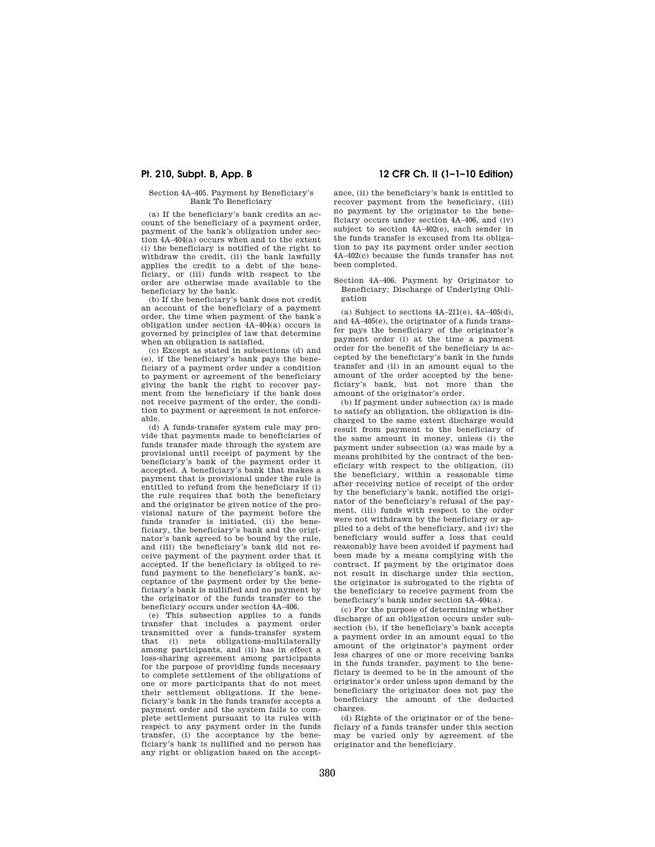### Section 4A–405. Payment by Beneficiary's Bank To Beneficiary

(a) If the beneficiary's bank credits an account of the beneficiary of a payment order, payment of the bank's obligation under section 4A–404(a) occurs when and to the extent (i) the beneficiary is notified of the right to withdraw the credit, (ii) the bank lawfully applies the credit to a debt of the beneficiary, or (iii) funds with respect to the order are otherwise made available to the beneficiary by the bank.

(b) If the beneficiary's bank does not credit an account of the beneficiary of a payment order, the time when payment of the bank's obligation under section 4A–404(a) occurs is governed by principles of law that determine when an obligation is satisfied.

(c) Except as stated in subsections (d) and (e), if the beneficiary's bank pays the beneficiary of a payment order under a condition to payment or agreement of the beneficiary giving the bank the right to recover payment from the beneficiary if the bank does not receive payment of the order, the condition to payment or agreement is not enforceable.

(d) A funds-transfer system rule may provide that payments made to beneficiaries of funds transfer made through the system are provisional until receipt of payment by the beneficiary's bank of the payment order it accepted. A beneficiary's bank that makes a payment that is provisional under the rule is entitled to refund from the beneficiary if (i) the rule requires that both the beneficiary and the originator be given notice of the provisional nature of the payment before the funds transfer is initiated, (ii) the beneficiary, the beneficiary's bank and the originator's bank agreed to be bound by the rule, and (iii) the beneficiary's bank did not receive payment of the payment order that it accepted. If the beneficiary is obliged to refund payment to the beneficiary's bank, acceptance of the payment order by the beneficiary's bank is nullified and no payment by the originator of the funds transfer to the beneficiary occurs under section 4A–406.

(e) This subsection applies to a funds transfer that includes a payment order transmitted over a funds-transfer system that (i) nets obligations-multilaterally among participants, and (ii) has in effect a loss-sharing agreement among participants for the purpose of providing funds necessary to complete settlement of the obligations of one or more participants that do not meet their settlement obligations. If the beneficiary's bank in the funds transfer accepts a payment order and the system fails to complete settlement pursuant to its rules with respect to any payment order in the funds transfer, (i) the acceptance by the beneficiary's bank is nullified and no person has any right or obligation based on the accept-

**Pt. 210, Subpt. B, App. B 12 CFR Ch. II (1–1–10 Edition)** 

ance, (ii) the beneficiary's bank is entitled to recover payment from the beneficiary, (iii) no payment by the originator to the beneficiary occurs under section 4A–406, and (iv) subject to section 4A–402(e), each sender in the funds transfer is excused from its obligation to pay its payment order under section 4A–402(c) because the funds transfer has not been completed.

Section 4A–406. Payment by Originator to Beneficiary; Discharge of Underlying Obligation

(a) Subject to sections 4A–211(e), 4A–405(d), and 4A–405(e), the originator of a funds transfer pays the beneficiary of the originator's payment order (i) at the time a payment order for the benefit of the beneficiary is accepted by the beneficiary's bank in the funds transfer and (ii) in an amount equal to the amount of the order accepted by the beneficiary's bank, but not more than the amount of the originator's order.

(b) If payment under subsection (a) is made to satisfy an obligation, the obligation is discharged to the same extent discharge would result from payment to the beneficiary of the same amount in money, unless (i) the payment under subsection (a) was made by a means prohibited by the contract of the beneficiary with respect to the obligation, (ii) the beneficiary, within a reasonable time after receiving notice of receipt of the order by the beneficiary's bank, notified the originator of the beneficiary's refusal of the payment, (iii) funds with respect to the order were not withdrawn by the beneficiary or applied to a debt of the beneficiary, and (iv) the beneficiary would suffer a loss that could reasonably have been avoided if payment had been made by a means complying with the contract. If payment by the originator does not result in discharge under this section, the originator is subrogated to the rights of the beneficiary to receive payment from the beneficiary's bank under section 4A–404(a).

(c) For the purpose of determining whether discharge of an obligation occurs under subsection (b), if the beneficiary's bank accepts a payment order in an amount equal to the amount of the originator's payment order less charges of one or more receiving banks in the funds transfer, payment to the beneficiary is deemed to be in the amount of the originator's order unless upon demand by the beneficiary the originator does not pay the beneficiary the amount of the deducted charges.

(d) Rights of the originator or of the beneficiary of a funds transfer under this section may be varied only by agreement of the originator and the beneficiary.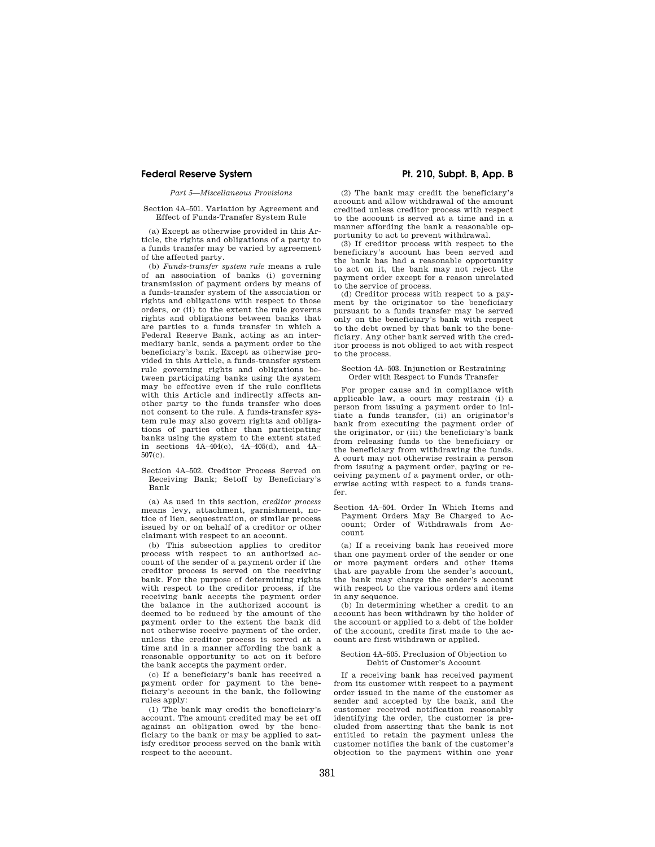### *Part 5—Miscellaneous Provisions*

#### Section 4A–501. Variation by Agreement and Effect of Funds-Transfer System Rule

(a) Except as otherwise provided in this Article, the rights and obligations of a party to a funds transfer may be varied by agreement of the affected party.

(b) *Funds-transfer system rule* means a rule of an association of banks (i) governing transmission of payment orders by means of a funds-transfer system of the association or rights and obligations with respect to those orders, or (ii) to the extent the rule governs rights and obligations between banks that are parties to a funds transfer in which a Federal Reserve Bank, acting as an intermediary bank, sends a payment order to the beneficiary's bank. Except as otherwise provided in this Article, a funds-transfer system rule governing rights and obligations between participating banks using the system may be effective even if the rule conflicts with this Article and indirectly affects another party to the funds transfer who does not consent to the rule. A funds-transfer system rule may also govern rights and obligations of parties other than participating banks using the system to the extent stated in sections  $4A-404(c)$ ,  $4A-405(d)$ , and  $4A-$ 507(c).

#### Section 4A–502. Creditor Process Served on Receiving Bank; Setoff by Beneficiary's Bank

(a) As used in this section, *creditor process*  means levy, attachment, garnishment, notice of lien, sequestration, or similar process issued by or on behalf of a creditor or other claimant with respect to an account.

(b) This subsection applies to creditor process with respect to an authorized account of the sender of a payment order if the creditor process is served on the receiving bank. For the purpose of determining rights with respect to the creditor process, if the receiving bank accepts the payment order the balance in the authorized account is deemed to be reduced by the amount of the payment order to the extent the bank did not otherwise receive payment of the order, unless the creditor process is served at a time and in a manner affording the bank a reasonable opportunity to act on it before the bank accepts the payment order.

(c) If a beneficiary's bank has received a payment order for payment to the beneficiary's account in the bank, the following rules apply:

(1) The bank may credit the beneficiary's account. The amount credited may be set off against an obligation owed by the beneficiary to the bank or may be applied to satisfy creditor process served on the bank with respect to the account.

(2) The bank may credit the beneficiary's account and allow withdrawal of the amount credited unless creditor process with respect to the account is served at a time and in a manner affording the bank a reasonable opportunity to act to prevent withdrawal.

(3) If creditor process with respect to the beneficiary's account has been served and the bank has had a reasonable opportunity to act on it, the bank may not reject the payment order except for a reason unrelated to the service of process.

(d) Creditor process with respect to a payment by the originator to the beneficiary pursuant to a funds transfer may be served only on the beneficiary's bank with respect to the debt owned by that bank to the beneficiary. Any other bank served with the creditor process is not obliged to act with respect to the process.

Section 4A–503. Injunction or Restraining Order with Respect to Funds Transfer

For proper cause and in compliance with applicable law, a court may restrain (i) a person from issuing a payment order to initiate a funds transfer, (ii) an originator's bank from executing the payment order of the originator, or (iii) the beneficiary's bank from releasing funds to the beneficiary or the beneficiary from withdrawing the funds. A court may not otherwise restrain a person from issuing a payment order, paying or receiving payment of a payment order, or otherwise acting with respect to a funds transfer.

### Section 4A–504. Order In Which Items and Payment Orders May Be Charged to Account; Order of Withdrawals from Account

(a) If a receiving bank has received more than one payment order of the sender or one or more payment orders and other items that are payable from the sender's account, the bank may charge the sender's account with respect to the various orders and items in any sequence.

(b) In determining whether a credit to an account has been withdrawn by the holder of the account or applied to a debt of the holder of the account, credits first made to the account are first withdrawn or applied.

### Section 4A–505. Preclusion of Objection to Debit of Customer's Account

If a receiving bank has received payment from its customer with respect to a payment order issued in the name of the customer as sender and accepted by the bank, and the customer received notification reasonably identifying the order, the customer is precluded from asserting that the bank is not entitled to retain the payment unless the customer notifies the bank of the customer's objection to the payment within one year